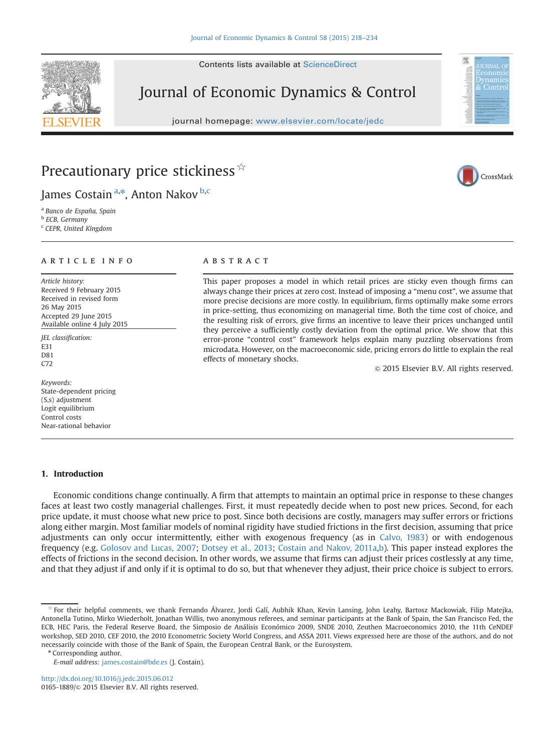Contents lists available at [ScienceDirect](www.sciencedirect.com/science/journal/01651889)

# Journal of Economic Dynamics & Control

journal homepage: <www.elsevier.com/locate/jedc>





## Precautionary price stickiness  $\overline{\mathbf{x}}$

James Costain <sup>a,\*</sup>, Anton Nakov <sup>b,c</sup>

<sup>a</sup> Banco de España, Spain <sup>b</sup> ECB, Germany

<sup>c</sup> CEPR, United Kingdom

### article info

Article history: Received 9 February 2015 Received in revised form 26 May 2015 Accepted 29 June 2015 Available online 4 July 2015

JEL classification: E31 D81 C72

Keywords: State-dependent pricing (S,s) adjustment Logit equilibrium Control costs Near-rational behavior

#### 1. Introduction

#### Economic conditions change continually. A firm that attempts to maintain an optimal price in response to these changes faces at least two costly managerial challenges. First, it must repeatedly decide when to post new prices. Second, for each price update, it must choose what new price to post. Since both decisions are costly, managers may suffer errors or frictions along either margin. Most familiar models of nominal rigidity have studied frictions in the first decision, assuming that price adjustments can only occur intermittently, either with exogenous frequency (as in Calvo, 1983) or with endogenous frequency (e.g. Golosov and Lucas, 2007; Dotsey et al., 2013; Costain and Nakov, 2011a,b). This paper instead explores the effects of frictions in the second decision. In other words, we assume that firms can adjust their prices costlessly at any time, and that they adjust if and only if it is optimal to do so, but that whenever they adjust, their price choice is subject to errors.

### **ABSTRACT**

This paper proposes a model in which retail prices are sticky even though firms can always change their prices at zero cost. Instead of imposing a "menu cost", we assume that more precise decisions are more costly. In equilibrium, firms optimally make some errors in price-setting, thus economizing on managerial time. Both the time cost of choice, and the resulting risk of errors, give firms an incentive to leave their prices unchanged until they perceive a sufficiently costly deviation from the optimal price. We show that this error-prone "control cost" framework helps explain many puzzling observations from microdata. However, on the macroeconomic side, pricing errors do little to explain the real effects of monetary shocks.

 $\odot$  2015 Elsevier B.V. All rights reserved.



For their helpful comments, we thank Fernando Álvarez, Jordi Galí, Aubhik Khan, Kevin Lansing, John Leahy, Bartosz Mackowiak, Filip Matejka, Antonella Tutino, Mirko Wiederholt, Jonathan Willis, two anonymous referees, and seminar participants at the Bank of Spain, the San Francisco Fed, the ECB, HEC Paris, the Federal Reserve Board, the Simposio de Análisis Económico 2009, SNDE 2010, Zeuthen Macroeconomics 2010, the 11th CeNDEF workshop, SED 2010, CEF 2010, the 2010 Econometric Society World Congress, and ASSA 2011. Views expressed here are those of the authors, and do not necessarily coincide with those of the Bank of Spain, the European Central Bank, or the Eurosystem.

<sup>\*</sup> Corresponding author.

E-mail address: [james.costain@bde.es](mailto:james.costain@bde.es) (J. Costain).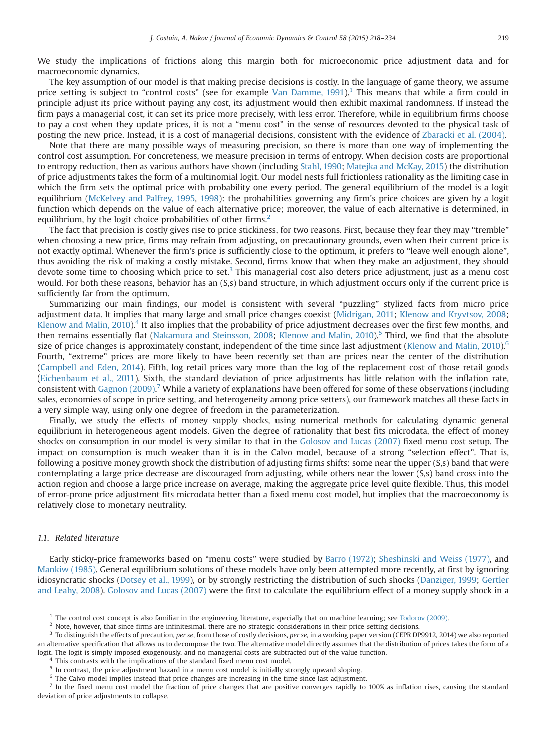We study the implications of frictions along this margin both for microeconomic price adjustment data and for macroeconomic dynamics.

The key assumption of our model is that making precise decisions is costly. In the language of game theory, we assume price setting is subject to "control costs" (see for example Van Damme,  $1991$ ).<sup>1</sup> This means that while a firm could in principle adjust its price without paying any cost, its adjustment would then exhibit maximal randomness. If instead the firm pays a managerial cost, it can set its price more precisely, with less error. Therefore, while in equilibrium firms choose to pay a cost when they update prices, it is not a "menu cost" in the sense of resources devoted to the physical task of posting the new price. Instead, it is a cost of managerial decisions, consistent with the evidence of Zbaracki et al. (2004).

Note that there are many possible ways of measuring precision, so there is more than one way of implementing the control cost assumption. For concreteness, we measure precision in terms of entropy. When decision costs are proportional to entropy reduction, then as various authors have shown (including Stahl, 1990; Matejka and McKay, 2015) the distribution of price adjustments takes the form of a multinomial logit. Our model nests full frictionless rationality as the limiting case in which the firm sets the optimal price with probability one every period. The general equilibrium of the model is a logit equilibrium (McKelvey and Palfrey, 1995, 1998): the probabilities governing any firm's price choices are given by a logit function which depends on the value of each alternative price; moreover, the value of each alternative is determined, in equilibrium, by the logit choice probabilities of other firms.<sup>2</sup>

The fact that precision is costly gives rise to price stickiness, for two reasons. First, because they fear they may "tremble" when choosing a new price, firms may refrain from adjusting, on precautionary grounds, even when their current price is not exactly optimal. Whenever the firm's price is sufficiently close to the optimum, it prefers to "leave well enough alone", thus avoiding the risk of making a costly mistake. Second, firms know that when they make an adjustment, they should devote some time to choosing which price to set.<sup>3</sup> This managerial cost also deters price adjustment, just as a menu cost would. For both these reasons, behavior has an (S,s) band structure, in which adjustment occurs only if the current price is sufficiently far from the optimum.

Summarizing our main findings, our model is consistent with several "puzzling" stylized facts from micro price adjustment data. It implies that many large and small price changes coexist (Midrigan, 2011; Klenow and Kryvtsov, 2008; Klenow and Malin,  $2010$ <sup>4</sup>. It also implies that the probability of price adjustment decreases over the first few months, and then remains essentially flat (Nakamura and Steinsson, 2008; Klenow and Malin, 2010).<sup>5</sup> Third, we find that the absolute size of price changes is approximately constant, independent of the time since last adjustment (Klenow and Malin,  $2010$ ).<sup>6</sup> Fourth, "extreme" prices are more likely to have been recently set than are prices near the center of the distribution (Campbell and Eden, 2014). Fifth, log retail prices vary more than the log of the replacement cost of those retail goods (Eichenbaum et al., 2011). Sixth, the standard deviation of price adjustments has little relation with the inflation rate, consistent with Gagnon (2009).<sup>7</sup> While a variety of explanations have been offered for some of these observations (including sales, economies of scope in price setting, and heterogeneity among price setters), our framework matches all these facts in a very simple way, using only one degree of freedom in the parameterization.

Finally, we study the effects of money supply shocks, using numerical methods for calculating dynamic general equilibrium in heterogeneous agent models. Given the degree of rationality that best fits microdata, the effect of money shocks on consumption in our model is very similar to that in the Golosov and Lucas (2007) fixed menu cost setup. The impact on consumption is much weaker than it is in the Calvo model, because of a strong "selection effect". That is, following a positive money growth shock the distribution of adjusting firms shifts: some near the upper (S,s) band that were contemplating a large price decrease are discouraged from adjusting, while others near the lower (S,s) band cross into the action region and choose a large price increase on average, making the aggregate price level quite flexible. Thus, this model of error-prone price adjustment fits microdata better than a fixed menu cost model, but implies that the macroeconomy is relatively close to monetary neutrality.

#### 1.1. Related literature

Early sticky-price frameworks based on "menu costs" were studied by Barro (1972); Sheshinski and Weiss (1977), and Mankiw (1985). General equilibrium solutions of these models have only been attempted more recently, at first by ignoring idiosyncratic shocks (Dotsey et al., 1999), or by strongly restricting the distribution of such shocks (Danziger, 1999; Gertler and Leahy, 2008). Golosov and Lucas (2007) were the first to calculate the equilibrium effect of a money supply shock in a

The control cost concept is also familiar in the engineering literature, especially that on machine learning; see Todorov (2009).

 $2$  Note, however, that since firms are infinitesimal, there are no strategic considerations in their price-setting decisions.

To distinguish the effects of precaution, per se, from those of costly decisions, per se, in a working paper version (CEPR DP9912, 2014) we also reported an alternative specification that allows us to decompose the two. The alternative model directly assumes that the distribution of prices takes the form of a logit. The logit is simply imposed exogenously, and no managerial costs are subtracted out of the value function.

This contrasts with the implications of the standard fixed menu cost model.

<sup>&</sup>lt;sup>5</sup> In contrast, the price adjustment hazard in a menu cost model is initially strongly upward sloping.

<sup>&</sup>lt;sup>6</sup> The Calvo model implies instead that price changes are increasing in the time since last adjustment.

 $<sup>7</sup>$  In the fixed menu cost model the fraction of price changes that are positive converges rapidly to 100% as inflation rises, causing the standard</sup> deviation of price adjustments to collapse.